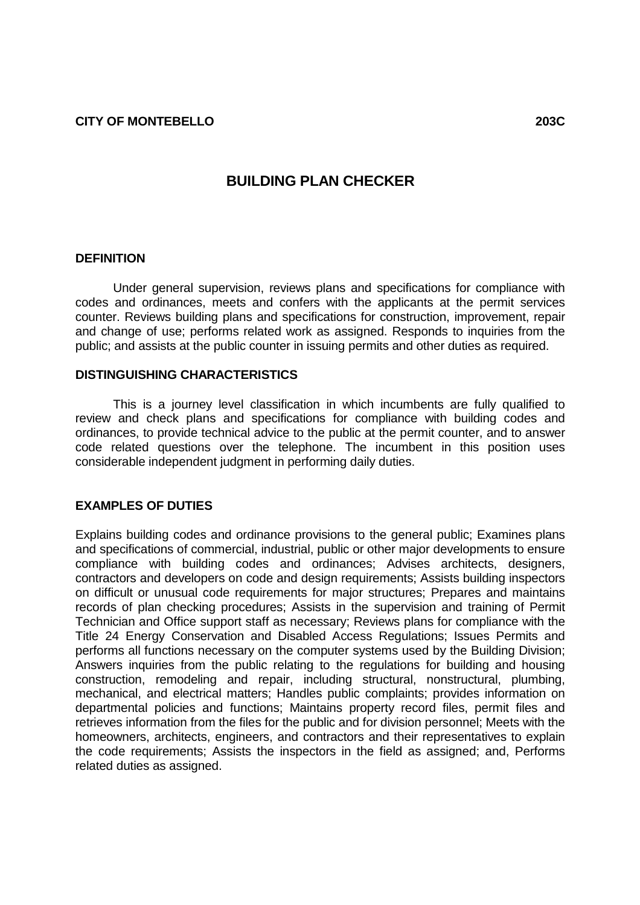# **BUILDING PLAN CHECKER**

#### **DEFINITION**

Under general supervision, reviews plans and specifications for compliance with codes and ordinances, meets and confers with the applicants at the permit services counter. Reviews building plans and specifications for construction, improvement, repair and change of use; performs related work as assigned. Responds to inquiries from the public; and assists at the public counter in issuing permits and other duties as required.

#### **DISTINGUISHING CHARACTERISTICS**

This is a journey level classification in which incumbents are fully qualified to review and check plans and specifications for compliance with building codes and ordinances, to provide technical advice to the public at the permit counter, and to answer code related questions over the telephone. The incumbent in this position uses considerable independent judgment in performing daily duties.

### **EXAMPLES OF DUTIES**

Explains building codes and ordinance provisions to the general public; Examines plans and specifications of commercial, industrial, public or other major developments to ensure compliance with building codes and ordinances; Advises architects, designers, contractors and developers on code and design requirements; Assists building inspectors on difficult or unusual code requirements for major structures; Prepares and maintains records of plan checking procedures; Assists in the supervision and training of Permit Technician and Office support staff as necessary; Reviews plans for compliance with the Title 24 Energy Conservation and Disabled Access Regulations; Issues Permits and performs all functions necessary on the computer systems used by the Building Division; Answers inquiries from the public relating to the regulations for building and housing construction, remodeling and repair, including structural, nonstructural, plumbing, mechanical, and electrical matters; Handles public complaints; provides information on departmental policies and functions; Maintains property record files, permit files and retrieves information from the files for the public and for division personnel; Meets with the homeowners, architects, engineers, and contractors and their representatives to explain the code requirements; Assists the inspectors in the field as assigned; and, Performs related duties as assigned.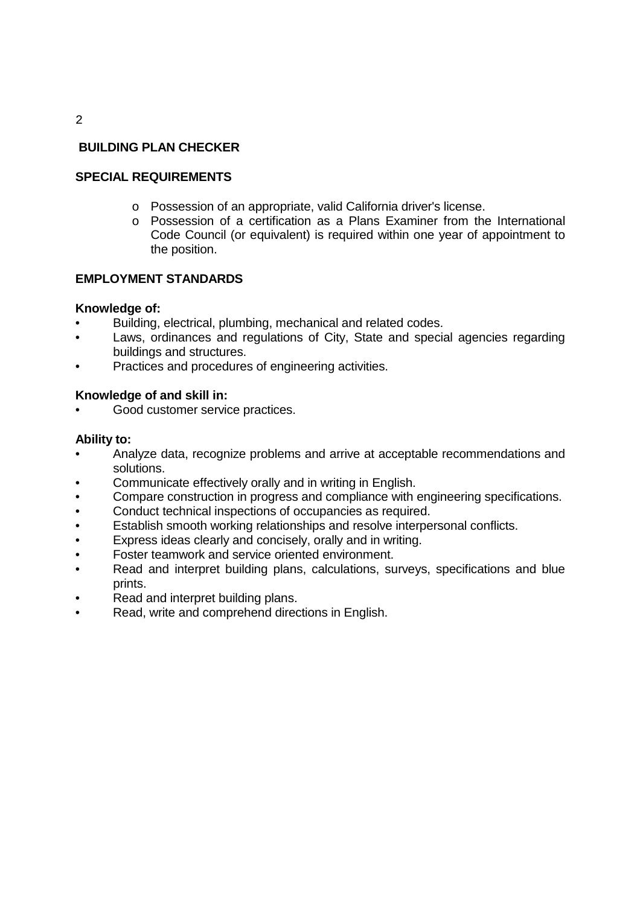# **BUILDING PLAN CHECKER**

## **SPECIAL REQUIREMENTS**

- o Possession of an appropriate, valid California driver's license.
- o Possession of a certification as a Plans Examiner from the International Code Council (or equivalent) is required within one year of appointment to the position.

### **EMPLOYMENT STANDARDS**

### **Knowledge of:**

- Building, electrical, plumbing, mechanical and related codes.
- Laws, ordinances and regulations of City, State and special agencies regarding buildings and structures.
- Practices and procedures of engineering activities.

### **Knowledge of and skill in:**

Good customer service practices.

### **Ability to:**

- Analyze data, recognize problems and arrive at acceptable recommendations and solutions.
- Communicate effectively orally and in writing in English.
- Compare construction in progress and compliance with engineering specifications.
- Conduct technical inspections of occupancies as required.
- Establish smooth working relationships and resolve interpersonal conflicts.
- Express ideas clearly and concisely, orally and in writing.
- Foster teamwork and service oriented environment.
- Read and interpret building plans, calculations, surveys, specifications and blue prints.
- Read and interpret building plans.
- Read, write and comprehend directions in English.